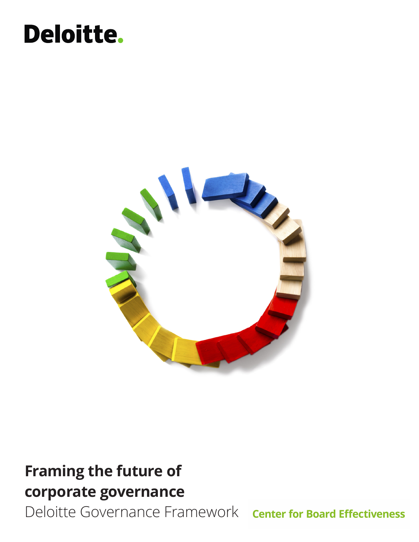# **Deloitte.**



# **Framing the future of corporate governance**

Deloitte Governance Framework center for Board Effectiveness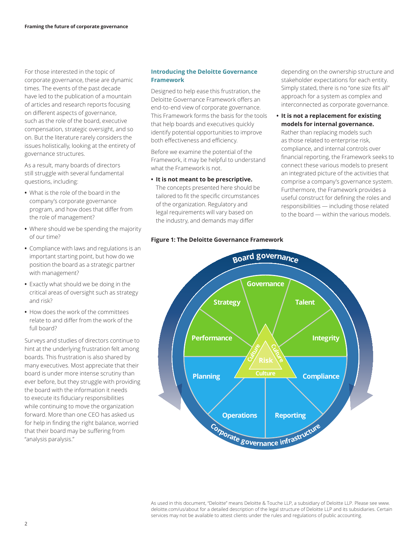For those interested in the topic of corporate governance, these are dynamic times. The events of the past decade have led to the publication of a mountain of articles and research reports focusing on different aspects of governance, such as the role of the board, executive compensation, strategic oversight, and so on. But the literature rarely considers the issues holistically, looking at the entirety of governance structures.

As a result, many boards of directors still struggle with several fundamental questions, including:

- **•** What is the role of the board in the company's corporate governance program, and how does that differ from the role of management?
- **•** Where should we be spending the majority of our time?
- **•** Compliance with laws and regulations is an important starting point, but how do we position the board as a strategic partner with management?
- **•** Exactly what should we be doing in the critical areas of oversight such as strategy and risk?
- **•** How does the work of the committees relate to and differ from the work of the full board?

Surveys and studies of directors continue to hint at the underlying frustration felt among boards. This frustration is also shared by many executives. Most appreciate that their board is under more intense scrutiny than ever before, but they struggle with providing the board with the information it needs to execute its fiduciary responsibilities while continuing to move the organization forward. More than one CEO has asked us for help in finding the right balance, worried that their board may be suffering from "analysis paralysis."

# **Introducing the Deloitte Governance Framework**

Designed to help ease this frustration, the Deloitte Governance Framework offers an end-to-end view of corporate governance. This Framework forms the basis for the tools that help boards and executives quickly identify potential opportunities to improve both effectiveness and efficiency.

Before we examine the potential of the Framework, it may be helpful to understand what the Framework is not.

**• It is not meant to be prescriptive.**  The concepts presented here should be tailored to fit the specific circumstances of the organization. Regulatory and legal requirements will vary based on the industry, and demands may differ

# **Figure 1: The Deloitte Governance Framework**

depending on the ownership structure and stakeholder expectations for each entity. Simply stated, there is no "one size fits all" approach for a system as complex and interconnected as corporate governance.

**• It is not a replacement for existing models for internal governance.** 

Rather than replacing models such as those related to enterprise risk, compliance, and internal controls over financial reporting, the Framework seeks to connect these various models to present an integrated picture of the activities that comprise a company's governance system. Furthermore, the Framework provides a useful construct for defining the roles and responsibilities — including those related to the board — within the various models.



As used in this document, "Deloitte" means Deloitte & Touche LLP, a subsidiary of Deloitte LLP. Please see www. deloitte.com/us/about for a detailed description of the legal structure of Deloitte LLP and its subsidiaries. Certain services may not be available to attest clients under the rules and regulations of public accounting.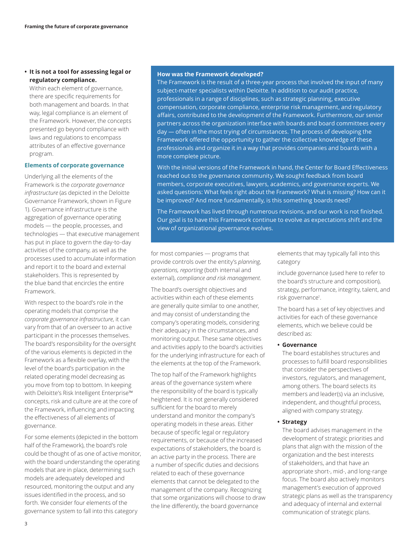# **• It is not a tool for assessing legal or regulatory compliance.**

Within each element of governance, there are specific requirements for both management and boards. In that way, legal compliance is an element of the Framework. However, the concepts presented go beyond compliance with laws and regulations to encompass attributes of an effective governance program.

# **Elements of corporate governance**

Underlying all the elements of the Framework is the *corporate governance infrastructure* (as depicted in the Deloitte Governance Framework, shown in Figure 1). Governance infrastructure is the aggregation of governance operating models — the people, processes, and technologies — that executive management has put in place to govern the day-to-day activities of the company, as well as the processes used to accumulate information and report it to the board and external stakeholders. This is represented by the blue band that encircles the entire Framework.

With respect to the board's role in the operating models that comprise the *corporate governance infrastructure*, it can vary from that of an overseer to an active participant in the processes themselves. The board's responsibility for the oversight of the various elements is depicted in the Framework as a flexible overlay, with the level of the board's participation in the related operating model decreasing as you move from top to bottom. In keeping with Deloitte's Risk Intelligent Enterprise™ concepts, risk and culture are at the core of the Framework, influencing and impacting the effectiveness of all elements of governance.

For some elements (depicted in the bottom half of the Framework), the board's role could be thought of as one of active monitor, with the board understanding the operating models that are in place, determining such models are adequately developed and resourced, monitoring the output and any issues identified in the process, and so forth. We consider four elements of the governance system to fall into this category

#### **How was the Framework developed?**

The Framework is the result of a three-year process that involved the input of many subject-matter specialists within Deloitte. In addition to our audit practice, professionals in a range of disciplines, such as strategic planning, executive compensation, corporate compliance, enterprise risk management, and regulatory affairs, contributed to the development of the Framework. Furthermore, our senior partners across the organization interface with boards and board committees every day — often in the most trying of circumstances. The process of developing the Framework offered the opportunity to gather the collective knowledge of these professionals and organize it in a way that provides companies and boards with a more complete picture.

With the initial versions of the Framework in hand, the Center for Board Effectiveness reached out to the governance community. We sought feedback from board members, corporate executives, lawyers, academics, and governance experts. We asked questions: What feels right about the Framework? What is missing? How can it be improved? And more fundamentally, is this something boards need?

The Framework has lived through numerous revisions, and our work is not finished. Our goal is to have this Framework continue to evolve as expectations shift and the view of organizational governance evolves.

for most companies — programs that provide controls over the entity's *planning, operations, reporting* (both internal and external), *compliance and risk management*.

The board's oversight objectives and activities within each of these elements are generally quite similar to one another, and may consist of understanding the company's operating models, considering their adequacy in the circumstances, and monitoring output. These same objectives and activities apply to the board's activities for the underlying infrastructure for each of the elements at the top of the Framework.

The top half of the Framework highlights areas of the governance system where the responsibility of the board is typically heightened. It is not generally considered sufficient for the board to merely understand and monitor the company's operating models in these areas. Either because of specific legal or regulatory requirements, or because of the increased expectations of stakeholders, the board is an active party in the process. There are a number of specific duties and decisions related to each of these governance elements that cannot be delegated to the management of the company. Recognizing that some organizations will choose to draw the line differently, the board governance

elements that may typically fall into this category

include governance (used here to refer to the board's structure and composition), strategy, performance, integrity, talent, and risk governance<sup>1</sup>.

The board has a set of key objectives and activities for each of these governance elements, which we believe could be described as:

#### **• Governance**

The board establishes structures and processes to fulfill board responsibilities that consider the perspectives of investors, regulators, and management, among others. The board selects its members and leader(s) via an inclusive, independent, and thoughtful process, aligned with company strategy.

# **• Strategy**

The board advises management in the development of strategic priorities and plans that align with the mission of the organization and the best interests of stakeholders, and that have an appropriate short-, mid-, and long-range focus. The board also actively monitors management's execution of approved strategic plans as well as the transparency and adequacy of internal and external communication of strategic plans.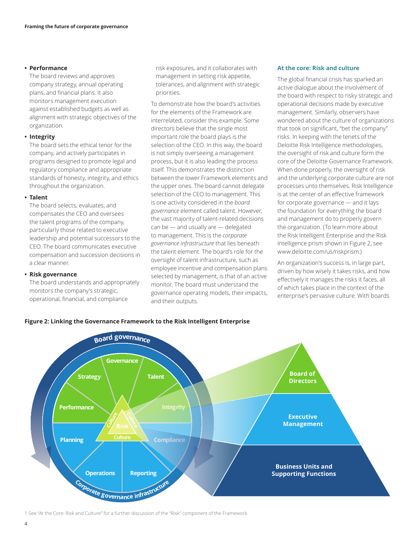#### **• Performance**

The board reviews and approves company strategy, annual operating plans, and financial plans. It also monitors management execution against established budgets as well as alignment with strategic objectives of the organization.

#### **• Integrity**

The board sets the ethical tenor for the company, and actively participates in programs designed to promote legal and regulatory compliance and appropriate standards of honesty, integrity, and ethics throughout the organization.

#### **• Talent**

The board selects, evaluates, and compensates the CEO and oversees the talent programs of the company, particularly those related to executive leadership and potential successors to the CEO. The board communicates executive compensation and succession decisions in a clear manner.

# **• Risk governance**

The board understands and appropriately monitors the company's strategic, operational, financial, and compliance

risk exposures, and it collaborates with management in setting risk appetite, tolerances, and alignment with strategic priorities.

To demonstrate how the board's activities for the elements of the Framework are interrelated, consider this example. Some directors believe that the single most important role the board plays is the selection of the CEO. In this way, the board is not simply overseeing a management process, but it is also leading the process itself. This demonstrates the distinction between the lower Framework elements and the upper ones. The board cannot delegate selection of the CEO to management. This is one activity considered in the *board governance* element called talent. However, the vast majority of talent-related decisions can be — and usually are — delegated to management. This is the *corporate governance infrastructure* that lies beneath the talent element. The board's role for the oversight of talent infrastructure, such as employee incentive and compensation plans selected by management, is that of an active monitor. The board must understand the governance operating models, their impacts, and their outputs.

### **At the core: Risk and culture**

The global financial crisis has sparked an active dialogue about the involvement of the board with respect to risky strategic and operational decisions made by executive management. Similarly, observers have wondered about the culture of organizations that took on significant, "bet the company" risks. In keeping with the tenets of the Deloitte Risk Intelligence methodologies, the oversight of risk and culture form the core of the Deloitte Governance Framework. When done properly, the oversight of risk and the underlying corporate culture are not processes unto themselves. Risk Intelligence is at the center of an effective framework for corporate governance — and it lays the foundation for everything the board and management do to properly govern the organization. (To learn more about the Risk Intelligent Enterprise and the Risk Intelligence prism shown in Figure 2, see www.deloitte.com/us/riskprism.)

An organization's success is, in large part, driven by how wisely it takes risks, and how effectively it manages the risks it faces, all of which takes place in the context of the enterprise's pervasive culture. With boards





1 See "At the Core: Risk and Culture" for a further discussion of the "Risk" component of the Framework.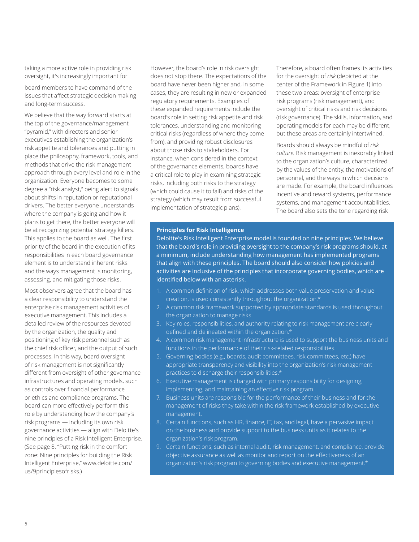taking a more active role in providing risk oversight, it's increasingly important for

board members to have command of the issues that affect strategic decision making and long-term success.

We believe that the way forward starts at the top of the governance/management "pyramid," with directors and senior executives establishing the organization's risk appetite and tolerances and putting in place the philosophy, framework, tools, and methods that drive the risk management approach through every level and role in the organization. Everyone becomes to some degree a "risk analyst," being alert to signals about shifts in reputation or reputational drivers. The better everyone understands where the company is going and how it plans to get there, the better everyone will be at recognizing potential strategy killers. This applies to the board as well. The first priority of the board in the execution of its responsibilities in each board governance element is to understand inherent risks and the ways management is monitoring, assessing, and mitigating those risks.

Most observers agree that the board has a clear responsibility to understand the enterprise risk management activities of executive management. This includes a detailed review of the resources devoted by the organization, the quality and positioning of key risk personnel such as the chief risk officer, and the output of such processes. In this way, board oversight of risk management is not significantly different from oversight of other governance infrastructures and operating models, such as controls over financial performance or ethics and compliance programs. The board can more effectively perform this role by understanding how the company's risk programs — including its own risk governance activities — align with Deloitte's nine principles of a Risk Intelligent Enterprise. (See page 8, "Putting risk in the comfort zone: Nine principles for building the Risk Intelligent Enterprise," www.deloitte.com/ us/9principlesofrisks.)

However, the board's role in risk oversight does not stop there. The expectations of the board have never been higher and, in some cases, they are resulting in new or expanded regulatory requirements. Examples of these expanded requirements include the board's role in setting risk appetite and risk tolerances, understanding and monitoring critical risks (regardless of where they come from), and providing robust disclosures about those risks to stakeholders. For instance, when considered in the context of the governance elements, boards have a critical role to play in examining strategic risks, including both risks to the strategy (which could cause it to fail) and risks of the strategy (which may result from successful implementation of strategic plans).

Therefore, a board often frames its activities for the oversight of *risk* (depicted at the center of the Framework in Figure 1) into these two areas: oversight of enterprise risk programs (risk management), and oversight of critical risks and risk decisions (risk governance). The skills, information, and operating models for each may be different, but these areas are certainly intertwined.

Boards should always be mindful of *risk culture.* Risk management is inexorably linked to the organization's culture, characterized by the values of the entity, the motivations of personnel, and the ways in which decisions are made. For example, the board influences incentive and reward systems, performance systems, and management accountabilities. The board also sets the tone regarding risk

#### **Principles for Risk Intelligence**

Deloitte's Risk Intelligent Enterprise model is founded on nine principles. We believe that the board's role in providing oversight to the company's risk programs should, at a minimum, include understanding how management has implemented programs that align with these principles. The board should also consider how policies and activities are inclusive of the principles that incorporate governing bodies, which are identified below with an asterisk.

- 1. A common definition of risk, which addresses both value preservation and value creation, is used consistently throughout the organization.\*
- 2. A common risk framework supported by appropriate standards is used throughout the organization to manage risks.
- 3. Key roles, responsibilities, and authority relating to risk management are clearly defined and delineated within the organization.\*
- 4. A common risk management infrastructure is used to support the business units and functions in the performance of their risk-related responsibilities.
- 5. Governing bodies (e.g., boards, audit committees, risk committees, etc.) have appropriate transparency and visibility into the organization's risk management practices to discharge their responsibilities.\*
- 6. Executive management is charged with primary responsibility for designing, implementing, and maintaining an effective risk program.
- 7. Business units are responsible for the performance of their business and for the management of risks they take within the risk framework established by executive management.
- 8. Certain functions, such as HR, finance, IT, tax, and legal, have a pervasive impact on the business and provide support to the business units as it relates to the organization's risk program.
- 9. Certain functions, such as internal audit, risk management, and compliance, provide objective assurance as well as monitor and report on the effectiveness of an organization's risk program to governing bodies and executive management.\*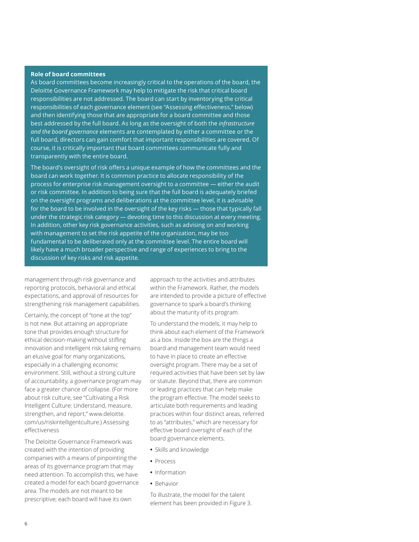#### **Role of board committees**

As board committees become increasingly critical to the operations of the board, the Deloitte Governance Framework may help to mitigate the risk that critical board responsibilities are not addressed. The board can start by inventorying the critical responsibilities of each governance element (see "Assessing effectiveness," below) and then identifying those that are appropriate for a board committee and those best addressed by the full board. As long as the oversight of both the *infrastructure and the board governance* elements are contemplated by either a committee or the full board, directors can gain comfort that important responsibilities are covered. Of course, it is critically important that board committees communicate fully and transparently with the entire board.

The board's oversight of risk offers a unique example of how the committees and the board can work together. It is common practice to allocate responsibility of the process for enterprise risk management oversight to a committee — either the audit or risk committee. In addition to being sure that the full board is adequately briefed on the oversight programs and deliberations at the committee level, it is advisable for the board to be involved in the oversight of the key risks — those that typically fall under the strategic risk category — devoting time to this discussion at every meeting. In addition, other key risk governance activities, such as advising on and working with management to set the risk appetite of the organization, may be too fundamental to be deliberated only at the committee level. The entire board will likely have a much broader perspective and range of experiences to bring to the discussion of key risks and risk appetite.

management through risk governance and reporting protocols, behavioral and ethical expectations, and approval of resources for strengthening risk management capabilities.

Certainly, the concept of "tone at the top" is not new. But attaining an appropriate tone that provides enough structure for ethical decision-making without stifling innovation and intelligent risk taking remains an elusive goal for many organizations, especially in a challenging economic environment. Still, without a strong culture of accountability, a governance program may face a greater chance of collapse. (For more about risk culture, see "Cultivating a Risk Intelligent Culture: Understand, measure, strengthen, and report," www.deloitte. com/us/riskintelligentculture.) Assessing effectiveness

The Deloitte Governance Framework was created with the intention of providing companies with a means of pinpointing the areas of its governance program that may need attention. To accomplish this, we have created a model for each board governance area. The models are not meant to be prescriptive; each board will have its own

approach to the activities and attributes within the Framework. Rather, the models are intended to provide a picture of effective governance to spark a board's thinking about the maturity of its program.

To understand the models, it may help to think about each element of the Framework as a box. Inside the box are the things a board and management team would need to have in place to create an effective oversight program. There may be a set of required activities that have been set by law or statute. Beyond that, there are common or leading practices that can help make the program effective. The model seeks to articulate both requirements and leading practices within four distinct areas, referred to as "attributes," which are necessary for effective board oversight of each of the board governance elements.

- **•** Skills and knowledge
- **•** Process
- **•** Information
- **•** Behavior

To illustrate, the model for the talent element has been provided in Figure 3.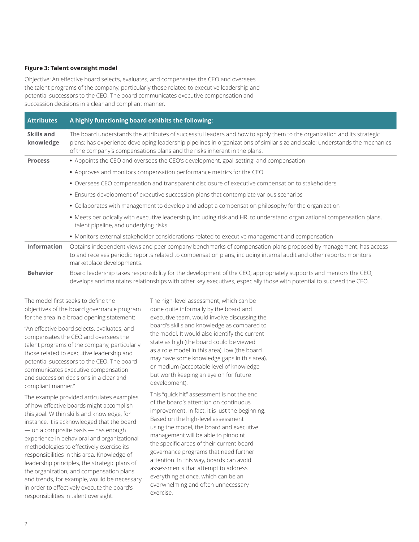# **Figure 3: Talent oversight model**

Objective: An effective board selects, evaluates, and compensates the CEO and oversees the talent programs of the company, particularly those related to executive leadership and potential successors to the CEO. The board communicates executive compensation and succession decisions in a clear and compliant manner.

| <b>Attributes</b>       | A highly functioning board exhibits the following:                                                                                                                                                                                                                                                                                 |
|-------------------------|------------------------------------------------------------------------------------------------------------------------------------------------------------------------------------------------------------------------------------------------------------------------------------------------------------------------------------|
| Skills and<br>knowledge | The board understands the attributes of successful leaders and how to apply them to the organization and its strategic<br>plans; has experience developing leadership pipelines in organizations of similar size and scale; understands the mechanics<br>of the company's compensations plans and the risks inherent in the plans. |
| <b>Process</b>          | • Appoints the CEO and oversees the CEO's development, goal-setting, and compensation                                                                                                                                                                                                                                              |
|                         | • Approves and monitors compensation performance metrics for the CEO                                                                                                                                                                                                                                                               |
|                         | · Oversees CEO compensation and transparent disclosure of executive compensation to stakeholders                                                                                                                                                                                                                                   |
|                         | • Ensures development of executive succession plans that contemplate various scenarios                                                                                                                                                                                                                                             |
|                         | · Collaborates with management to develop and adopt a compensation philosophy for the organization                                                                                                                                                                                                                                 |
|                         | • Meets periodically with executive leadership, including risk and HR, to understand organizational compensation plans,<br>talent pipeline, and underlying risks                                                                                                                                                                   |
|                         | • Monitors external stakeholder considerations related to executive management and compensation                                                                                                                                                                                                                                    |
| <b>Information</b>      | Obtains independent views and peer company benchmarks of compensation plans proposed by management; has access<br>to and receives periodic reports related to compensation plans, including internal audit and other reports; monitors<br>marketplace developments.                                                                |
| <b>Behavior</b>         | Board leadership takes responsibility for the development of the CEO; appropriately supports and mentors the CEO;<br>develops and maintains relationships with other key executives, especially those with potential to succeed the CEO.                                                                                           |

The model first seeks to define the objectives of the board governance program for the area in a broad opening statement:

"An effective board selects, evaluates, and compensates the CEO and oversees the talent programs of the company, particularly those related to executive leadership and potential successors to the CEO. The board communicates executive compensation and succession decisions in a clear and compliant manner."

The example provided articulates examples of how effective boards might accomplish this goal. Within skills and knowledge, for instance, it is acknowledged that the board — on a composite basis — has enough experience in behavioral and organizational methodologies to effectively exercise its responsibilities in this area. Knowledge of leadership principles, the strategic plans of the organization, and compensation plans and trends, for example, would be necessary in order to effectively execute the board's responsibilities in talent oversight.

The high-level assessment, which can be done quite informally by the board and executive team, would involve discussing the board's skills and knowledge as compared to the model. It would also identify the current state as high (the board could be viewed as a role model in this area), low (the board may have some knowledge gaps in this area), or medium (acceptable level of knowledge but worth keeping an eye on for future development).

This "quick hit" assessment is not the end of the board's attention on continuous improvement. In fact, it is just the beginning. Based on the high-level assessment using the model, the board and executive management will be able to pinpoint the specific areas of their current board governance programs that need further attention. In this way, boards can avoid assessments that attempt to address everything at once, which can be an overwhelming and often unnecessary exercise.